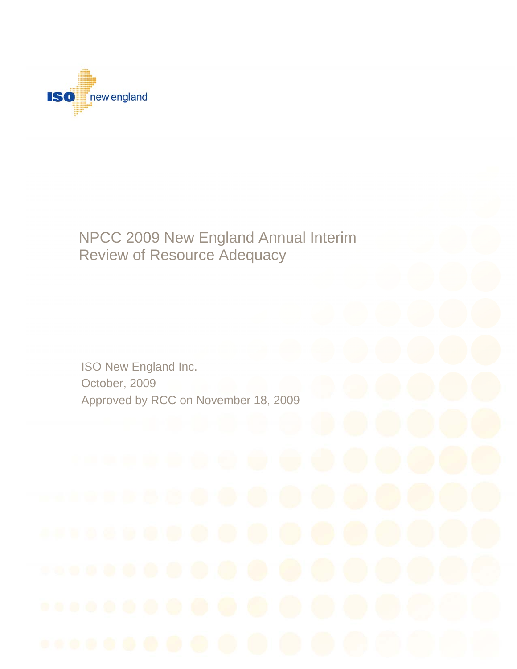

# NPCC 2009 New England Annual Interim Review of Resource Adequacy

ISO New England Inc. October, 2009 Approved by RCC on November 18, 2009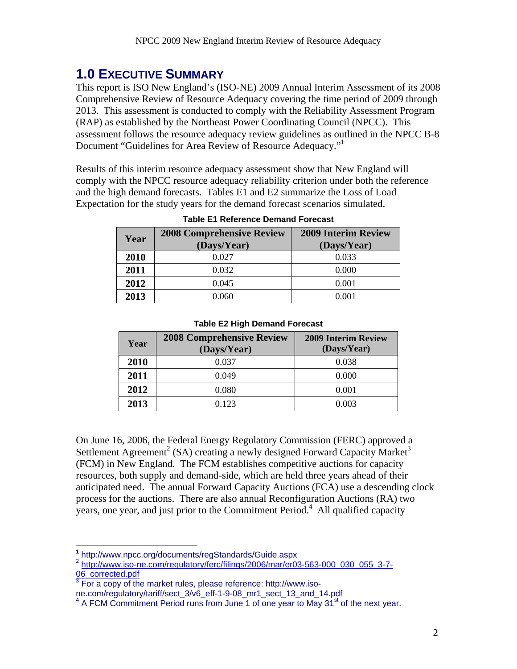## **1.0 EXECUTIVE SUMMARY**

This report is ISO New England's (ISO-NE) 2009 Annual Interim Assessment of its 2008 Comprehensive Review of Resource Adequacy covering the time period of 2009 through 2013. This assessment is conducted to comply with the Reliability Assessment Program (RAP) as established by the Northeast Power Coordinating Council (NPCC). This assessment follows the resource adequacy review guidelines as outlined in the NPCC B-8 Document "Guidelines for Area Review of Resource Adequacy."

Results of this interim resource adequacy assessment show that New England will comply with the NPCC resource adequacy reliability criterion under both the reference and the high demand forecasts. Tables E1 and E2 summarize the Loss of Load Expectation for the study years for the demand forecast scenarios simulated.

| Year | <b>2008 Comprehensive Review</b><br>(Days/Year) | <b>2009 Interim Review</b><br>(Days/Year) |
|------|-------------------------------------------------|-------------------------------------------|
| 2010 | 0.027                                           | 0.033                                     |
| 2011 | 0.032                                           | 0.000                                     |
| 2012 | 0.045                                           | 0.001                                     |
| 2013 | 0.060                                           | 0.001                                     |

#### **Table E1 Reference Demand Forecast**

#### **Table E2 High Demand Forecast**

| Year | <b>2008 Comprehensive Review</b><br>(Days/Year) | <b>2009 Interim Review</b><br>(Days/Year) |
|------|-------------------------------------------------|-------------------------------------------|
| 2010 | 0.037                                           | 0.038                                     |
| 2011 | 0.049                                           | 0.000                                     |
| 2012 | 0.080                                           | 0.001                                     |
| 2013 | 0.123                                           | 0.003                                     |

On June 16, 2006, the Federal Energy Regulatory Commission (FERC) approved a Settlement Agreement<sup>2</sup> (SA) creating a newly designed Forward Capacity Market<sup>3</sup> (FCM) in New England. The FCM establishes competitive auctions for capacity resources, both supply and demand-side, which are held three years ahead of their anticipated need. The annual Forward Capacity Auctions (FCA) use a descending clock process for the auctions. There are also annual Reconfiguration Auctions (RA) two years, one year, and just prior to the Commitment Period.<sup>4</sup> All qualified capacity

 $\overline{a}$ 

**<sup>1</sup>** http://www.npcc.org/documents/regStandards/Guide.aspx

<sup>2</sup> http://www.iso-ne.com/regulatory/ferc/filings/2006/mar/er03-563-000\_030\_055\_3-7- 06\_corrected.pdf

 $3$  For a copy of the market rules, please reference: http://www.iso-

ne.com/regulatory/tariff/sect\_3/v6\_eff-1-9-08\_mr1\_sect\_13\_and\_14.pdf 4

A FCM Commitment Period runs from June 1 of one year to May  $31<sup>st</sup>$  of the next year.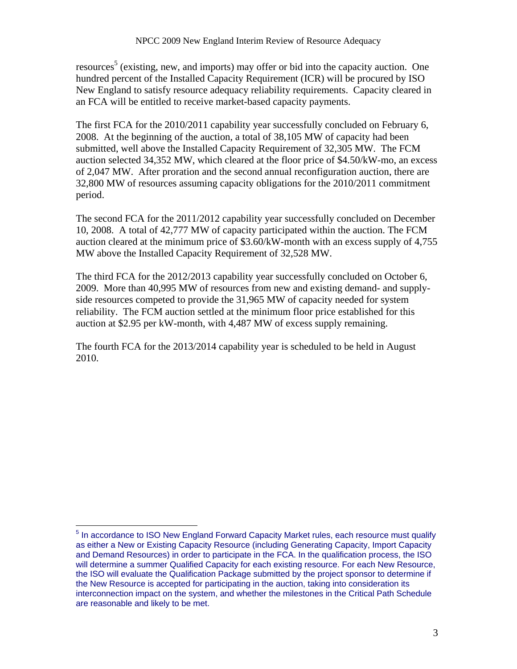resources<sup>5</sup> (existing, new, and imports) may offer or bid into the capacity auction. One hundred percent of the Installed Capacity Requirement (ICR) will be procured by ISO New England to satisfy resource adequacy reliability requirements. Capacity cleared in an FCA will be entitled to receive market-based capacity payments.

The first FCA for the 2010/2011 capability year successfully concluded on February 6, 2008. At the beginning of the auction, a total of 38,105 MW of capacity had been submitted, well above the Installed Capacity Requirement of 32,305 MW. The FCM auction selected 34,352 MW, which cleared at the floor price of \$4.50/kW-mo, an excess of 2,047 MW. After proration and the second annual reconfiguration auction, there are 32,800 MW of resources assuming capacity obligations for the 2010/2011 commitment period.

The second FCA for the 2011/2012 capability year successfully concluded on December 10, 2008. A total of 42,777 MW of capacity participated within the auction. The FCM auction cleared at the minimum price of \$3.60/kW-month with an excess supply of 4,755 MW above the Installed Capacity Requirement of 32,528 MW.

The third FCA for the 2012/2013 capability year successfully concluded on October 6, 2009. More than 40,995 MW of resources from new and existing demand- and supplyside resources competed to provide the 31,965 MW of capacity needed for system reliability. The FCM auction settled at the minimum floor price established for this auction at \$2.95 per kW-month, with 4,487 MW of excess supply remaining.

The fourth FCA for the 2013/2014 capability year is scheduled to be held in August 2010.

 $\overline{a}$ 

<sup>&</sup>lt;sup>5</sup> In accordance to ISO New England Forward Capacity Market rules, each resource must qualify as either a New or Existing Capacity Resource (including Generating Capacity, Import Capacity and Demand Resources) in order to participate in the FCA. In the qualification process, the ISO will determine a summer Qualified Capacity for each existing resource. For each New Resource, the ISO will evaluate the Qualification Package submitted by the project sponsor to determine if the New Resource is accepted for participating in the auction, taking into consideration its interconnection impact on the system, and whether the milestones in the Critical Path Schedule are reasonable and likely to be met.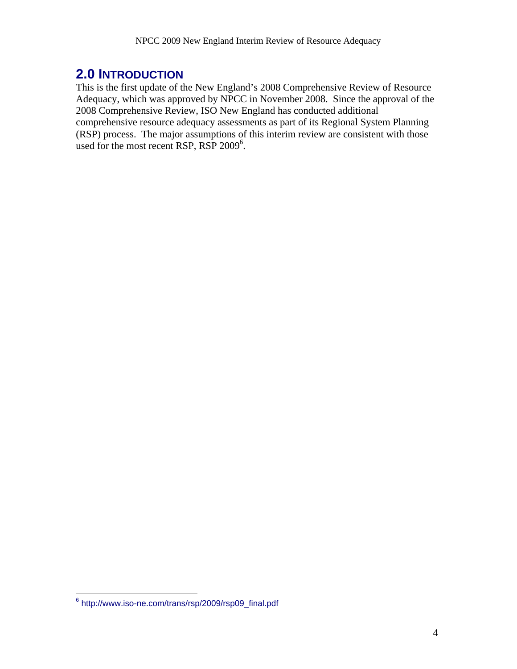## **2.0 INTRODUCTION**

This is the first update of the New England's 2008 Comprehensive Review of Resource Adequacy, which was approved by NPCC in November 2008. Since the approval of the 2008 Comprehensive Review, ISO New England has conducted additional comprehensive resource adequacy assessments as part of its Regional System Planning (RSP) process. The major assumptions of this interim review are consistent with those used for the most recent RSP, RSP 2009<sup>6</sup>.

 6 http://www.iso-ne.com/trans/rsp/2009/rsp09\_final.pdf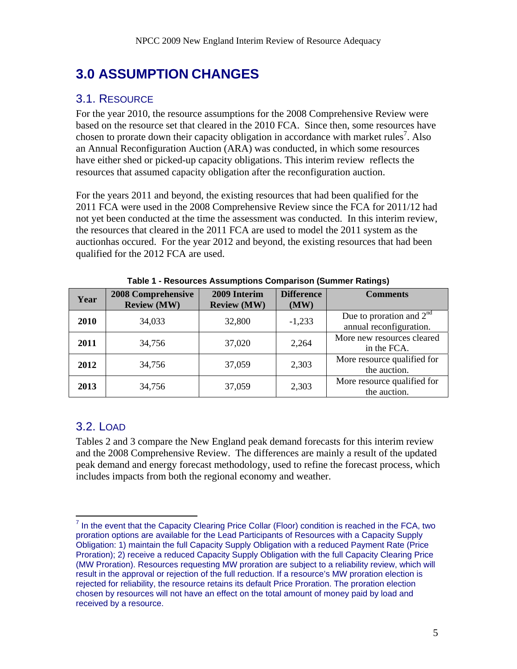# **3.0 ASSUMPTION CHANGES**

## 3.1. RESOURCE

For the year 2010, the resource assumptions for the 2008 Comprehensive Review were based on the resource set that cleared in the 2010 FCA. Since then, some resources have chosen to prorate down their capacity obligation in accordance with market rules<sup>7</sup>. Also an Annual Reconfiguration Auction (ARA) was conducted, in which some resources have either shed or picked-up capacity obligations. This interim review reflects the resources that assumed capacity obligation after the reconfiguration auction.

For the years 2011 and beyond, the existing resources that had been qualified for the 2011 FCA were used in the 2008 Comprehensive Review since the FCA for 2011/12 had not yet been conducted at the time the assessment was conducted. In this interim review, the resources that cleared in the 2011 FCA are used to model the 2011 system as the auctionhas occured. For the year 2012 and beyond, the existing resources that had been qualified for the 2012 FCA are used.

| Year | <b>2008 Comprehensive</b><br><b>Review (MW)</b> | 2009 Interim<br><b>Review (MW)</b> | <b>Difference</b><br>(MW) | <b>Comments</b>                                       |
|------|-------------------------------------------------|------------------------------------|---------------------------|-------------------------------------------------------|
| 2010 | 34,033                                          | 32,800                             | $-1,233$                  | Due to proration and $2nd$<br>annual reconfiguration. |
| 2011 | 34,756                                          | 37,020                             | 2,264                     | More new resources cleared<br>in the FCA.             |
| 2012 | 34,756                                          | 37,059                             | 2,303                     | More resource qualified for<br>the auction.           |
| 2013 | 34,756                                          | 37,059                             | 2,303                     | More resource qualified for<br>the auction.           |

**Table 1 - Resources Assumptions Comparison (Summer Ratings)** 

## 3.2. LOAD

Tables 2 and 3 compare the New England peak demand forecasts for this interim review and the 2008 Comprehensive Review. The differences are mainly a result of the updated peak demand and energy forecast methodology, used to refine the forecast process, which includes impacts from both the regional economy and weather.

 $\overline{a}$  $<sup>7</sup>$  In the event that the Capacity Clearing Price Collar (Floor) condition is reached in the FCA, two</sup> proration options are available for the Lead Participants of Resources with a Capacity Supply Obligation: 1) maintain the full Capacity Supply Obligation with a reduced Payment Rate (Price Proration); 2) receive a reduced Capacity Supply Obligation with the full Capacity Clearing Price (MW Proration). Resources requesting MW proration are subject to a reliability review, which will result in the approval or rejection of the full reduction. If a resource's MW proration election is rejected for reliability, the resource retains its default Price Proration. The proration election chosen by resources will not have an effect on the total amount of money paid by load and received by a resource.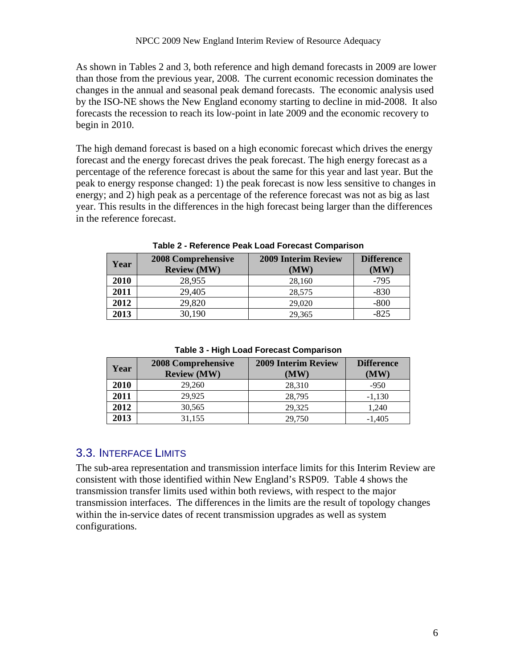As shown in Tables 2 and 3, both reference and high demand forecasts in 2009 are lower than those from the previous year, 2008. The current economic recession dominates the changes in the annual and seasonal peak demand forecasts. The economic analysis used by the ISO-NE shows the New England economy starting to decline in mid-2008. It also forecasts the recession to reach its low-point in late 2009 and the economic recovery to begin in 2010.

The high demand forecast is based on a high economic forecast which drives the energy forecast and the energy forecast drives the peak forecast. The high energy forecast as a percentage of the reference forecast is about the same for this year and last year. But the peak to energy response changed: 1) the peak forecast is now less sensitive to changes in energy; and 2) high peak as a percentage of the reference forecast was not as big as last year. This results in the differences in the high forecast being larger than the differences in the reference forecast.

| Year | <b>2008 Comprehensive</b><br><b>Review (MW)</b> | <b>2009 Interim Review</b><br>(MW) | <b>Difference</b><br>(MW) |
|------|-------------------------------------------------|------------------------------------|---------------------------|
| 2010 | 28,955                                          | 28,160                             | $-795$                    |
| 2011 | 29,405                                          | 28,575                             | $-830$                    |
| 2012 | 29,820                                          | 29,020                             | $-800$                    |
| 2013 | 30,190                                          | 29,365                             | $-825$                    |

**Table 2 - Reference Peak Load Forecast Comparison** 

**Table 3 - High Load Forecast Comparison** 

| Year | 2008 Comprehensive<br><b>Review (MW)</b> | <b>2009 Interim Review</b><br>(MW) | <b>Difference</b><br>(MW) |
|------|------------------------------------------|------------------------------------|---------------------------|
| 2010 | 29,260                                   | 28,310                             | $-950$                    |
| 2011 | 29.925                                   | 28,795                             | $-1,130$                  |
| 2012 | 30,565                                   | 29,325                             | 1,240                     |
| 2013 | 31,155                                   | 29,750                             | $-1,405$                  |

### 3.3. INTERFACE LIMITS

The sub-area representation and transmission interface limits for this Interim Review are consistent with those identified within New England's RSP09. Table 4 shows the transmission transfer limits used within both reviews, with respect to the major transmission interfaces. The differences in the limits are the result of topology changes within the in-service dates of recent transmission upgrades as well as system configurations.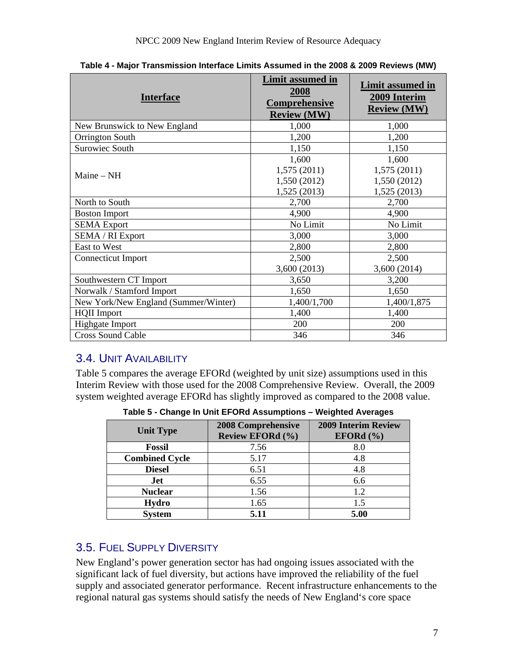| <b>Interface</b>                     | <b>Limit assumed in</b><br>2008<br>Comprehensive<br><b>Review (MW)</b> | Limit assumed in<br>2009 Interim<br><b>Review (MW)</b> |
|--------------------------------------|------------------------------------------------------------------------|--------------------------------------------------------|
| New Brunswick to New England         | 1,000                                                                  | 1,000                                                  |
| Orrington South                      | 1,200                                                                  | 1,200                                                  |
| Surowiec South                       | 1,150                                                                  | 1,150                                                  |
|                                      | 1,600                                                                  | 1,600                                                  |
| $Maine - NH$                         | 1,575(2011)                                                            | 1,575(2011)                                            |
|                                      | 1,550 (2012)                                                           | 1,550 (2012)                                           |
|                                      | 1,525 (2013)                                                           | 1,525 (2013)                                           |
| North to South                       | 2,700                                                                  | 2,700                                                  |
| <b>Boston Import</b>                 | 4,900                                                                  | 4,900                                                  |
| <b>SEMA</b> Export                   | No Limit                                                               | No Limit                                               |
| SEMA / RI Export                     | 3,000                                                                  | 3,000                                                  |
| <b>East to West</b>                  | 2,800                                                                  | 2,800                                                  |
| <b>Connecticut Import</b>            | 2,500                                                                  | 2,500                                                  |
|                                      | 3,600 (2013)                                                           | 3,600 (2014)                                           |
| Southwestern CT Import               | 3,650                                                                  | 3,200                                                  |
| Norwalk / Stamford Import            | 1,650                                                                  | 1,650                                                  |
| New York/New England (Summer/Winter) | 1,400/1,700                                                            | 1,400/1,875                                            |
| <b>HQII</b> Import                   | 1,400                                                                  | 1,400                                                  |
| Highgate Import                      | 200                                                                    | 200                                                    |
| <b>Cross Sound Cable</b>             | 346                                                                    | 346                                                    |

**Table 4 - Major Transmission Interface Limits Assumed in the 2008 & 2009 Reviews (MW)** 

## 3.4. UNIT AVAILABILITY

Table 5 compares the average EFORd (weighted by unit size) assumptions used in this Interim Review with those used for the 2008 Comprehensive Review. Overall, the 2009 system weighted average EFORd has slightly improved as compared to the 2008 value.

| <b>Unit Type</b>      | <b>2008 Comprehensive</b><br><b>Review EFORd (%)</b> | <b>2009 Interim Review</b><br>EFORd $(\% )$ |
|-----------------------|------------------------------------------------------|---------------------------------------------|
| <b>Fossil</b>         | 7.56                                                 | 8.0                                         |
| <b>Combined Cycle</b> | 5.17                                                 | 4.8                                         |
| <b>Diesel</b>         | 6.51                                                 | 4.8                                         |
| Jet                   | 6.55                                                 | 6.6                                         |
| <b>Nuclear</b>        | 1.56                                                 | 1.2                                         |
| Hydro                 | 1.65                                                 | 1.5                                         |
| <b>System</b>         | 5.11                                                 | 5.00                                        |

**Table 5 - Change In Unit EFORd Assumptions – Weighted Averages** 

## 3.5. FUEL SUPPLY DIVERSITY

New England's power generation sector has had ongoing issues associated with the significant lack of fuel diversity, but actions have improved the reliability of the fuel supply and associated generator performance. Recent infrastructure enhancements to the regional natural gas systems should satisfy the needs of New England's core space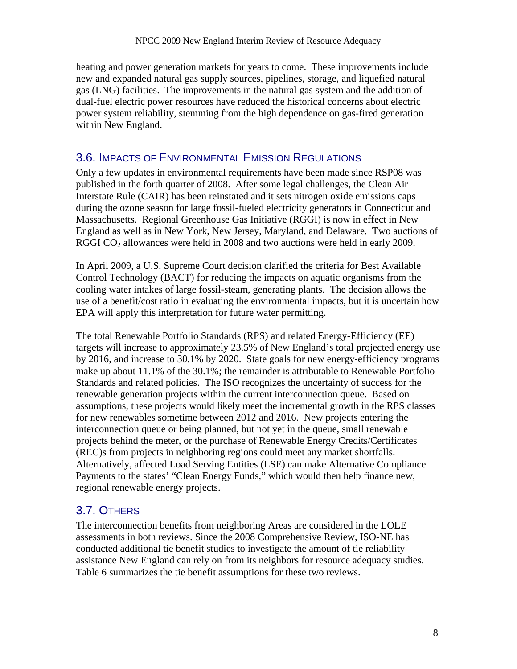heating and power generation markets for years to come. These improvements include new and expanded natural gas supply sources, pipelines, storage, and liquefied natural gas (LNG) facilities. The improvements in the natural gas system and the addition of dual-fuel electric power resources have reduced the historical concerns about electric power system reliability, stemming from the high dependence on gas-fired generation within New England.

### 3.6. IMPACTS OF ENVIRONMENTAL EMISSION REGULATIONS

Only a few updates in environmental requirements have been made since RSP08 was published in the forth quarter of 2008. After some legal challenges, the Clean Air Interstate Rule (CAIR) has been reinstated and it sets nitrogen oxide emissions caps during the ozone season for large fossil-fueled electricity generators in Connecticut and Massachusetts. Regional Greenhouse Gas Initiative (RGGI) is now in effect in New England as well as in New York, New Jersey, Maryland, and Delaware. Two auctions of RGGI CO<sub>2</sub> allowances were held in 2008 and two auctions were held in early 2009.

In April 2009, a U.S. Supreme Court decision clarified the criteria for Best Available Control Technology (BACT) for reducing the impacts on aquatic organisms from the cooling water intakes of large fossil-steam, generating plants. The decision allows the use of a benefit/cost ratio in evaluating the environmental impacts, but it is uncertain how EPA will apply this interpretation for future water permitting.

The total Renewable Portfolio Standards (RPS) and related Energy-Efficiency (EE) targets will increase to approximately 23.5% of New England's total projected energy use by 2016, and increase to 30.1% by 2020. State goals for new energy-efficiency programs make up about 11.1% of the 30.1%; the remainder is attributable to Renewable Portfolio Standards and related policies. The ISO recognizes the uncertainty of success for the renewable generation projects within the current interconnection queue. Based on assumptions, these projects would likely meet the incremental growth in the RPS classes for new renewables sometime between 2012 and 2016. New projects entering the interconnection queue or being planned, but not yet in the queue, small renewable projects behind the meter, or the purchase of Renewable Energy Credits/Certificates (REC)s from projects in neighboring regions could meet any market shortfalls. Alternatively, affected Load Serving Entities (LSE) can make Alternative Compliance Payments to the states' "Clean Energy Funds," which would then help finance new, regional renewable energy projects.

### 3.7. OTHERS

The interconnection benefits from neighboring Areas are considered in the LOLE assessments in both reviews. Since the 2008 Comprehensive Review, ISO-NE has conducted additional tie benefit studies to investigate the amount of tie reliability assistance New England can rely on from its neighbors for resource adequacy studies. Table 6 summarizes the tie benefit assumptions for these two reviews.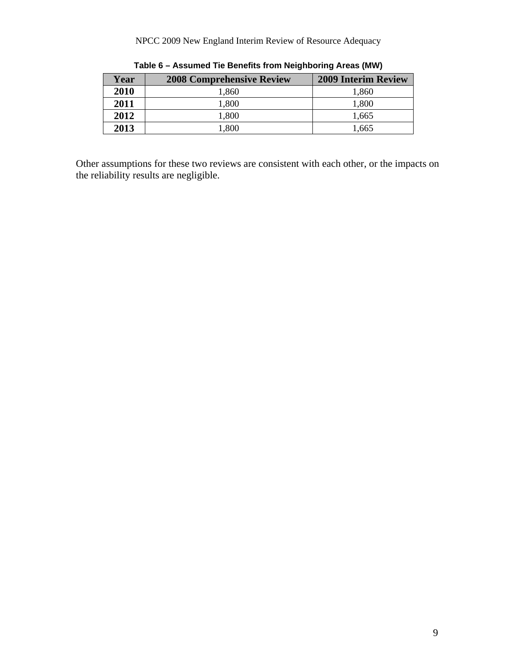#### NPCC 2009 New England Interim Review of Resource Adequacy

| Year | <b>2008 Comprehensive Review</b> | <b>2009 Interim Review</b> |
|------|----------------------------------|----------------------------|
| 2010 | 1,860                            | 1,860                      |
| 2011 | 1,800                            | 1,800                      |
| 2012 | 1,800                            | 1,665                      |
| 2013 | 1,800                            | 1.665                      |

**Table 6 – Assumed Tie Benefits from Neighboring Areas (MW)** 

Other assumptions for these two reviews are consistent with each other, or the impacts on the reliability results are negligible.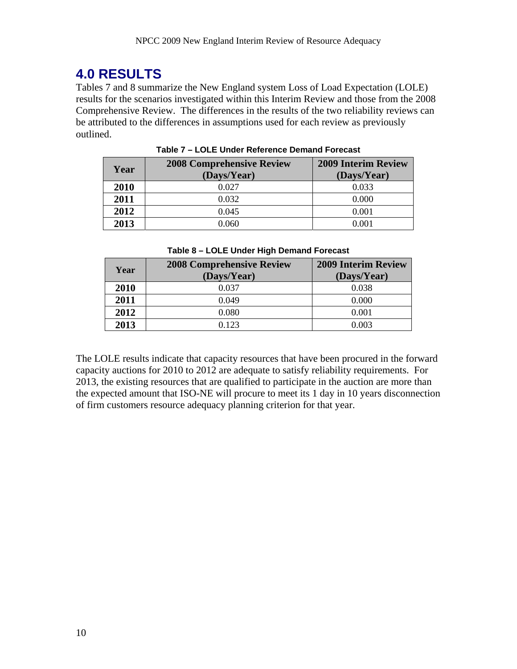# **4.0 RESULTS**

Tables 7 and 8 summarize the New England system Loss of Load Expectation (LOLE) results for the scenarios investigated within this Interim Review and those from the 2008 Comprehensive Review. The differences in the results of the two reliability reviews can be attributed to the differences in assumptions used for each review as previously outlined.

| Year | <b>2008 Comprehensive Review</b><br>(Days/Year) | <b>2009 Interim Review</b><br>(Days/Year) |
|------|-------------------------------------------------|-------------------------------------------|
| 2010 | 0.027                                           | 0.033                                     |
| 2011 | 0.032                                           | 0.000                                     |
| 2012 | 0.045                                           | 0.001                                     |
| 2013 | 0.060                                           | 0.001                                     |

**Table 7 – LOLE Under Reference Demand Forecast** 

| Year | <b>2008 Comprehensive Review</b><br>(Days/Year) | <b>2009 Interim Review</b><br>(Days/Year) |
|------|-------------------------------------------------|-------------------------------------------|
| 2010 | 0.037                                           | 0.038                                     |
| 2011 | 0.049                                           | 0.000                                     |
| 2012 | 0.080                                           | 0.001                                     |
| 2013 | 0.123                                           | 0.003                                     |

The LOLE results indicate that capacity resources that have been procured in the forward capacity auctions for 2010 to 2012 are adequate to satisfy reliability requirements. For 2013, the existing resources that are qualified to participate in the auction are more than the expected amount that ISO-NE will procure to meet its 1 day in 10 years disconnection of firm customers resource adequacy planning criterion for that year.